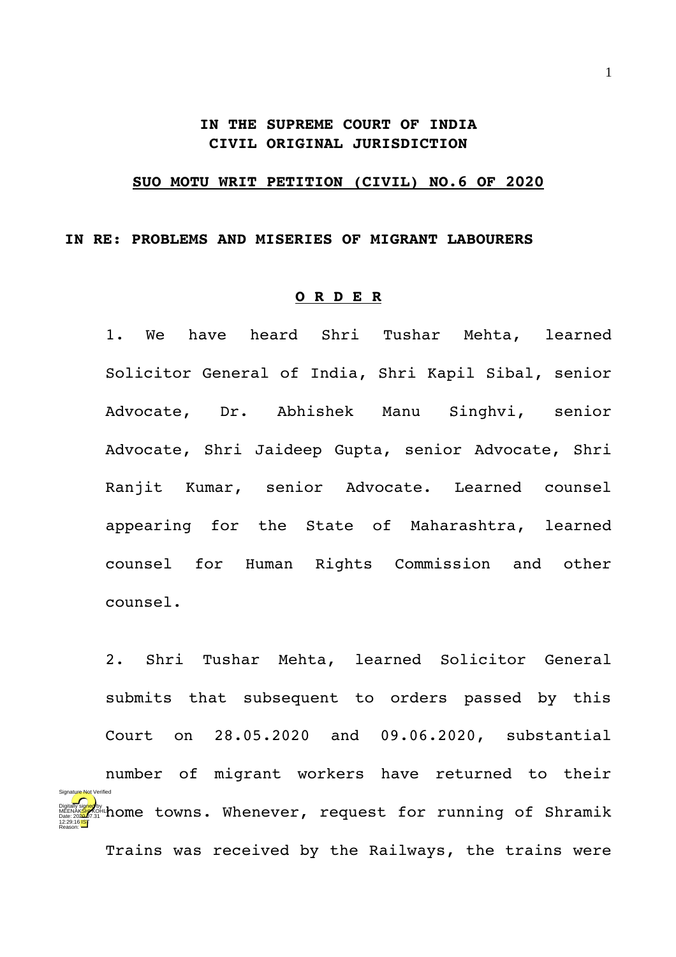## **IN THE SUPREME COURT OF INDIA CIVIL ORIGINAL JURISDICTION**

## **SUO MOTU WRIT PETITION (CIVIL) NO.6 OF 2020**

## **IN RE: PROBLEMS AND MISERIES OF MIGRANT LABOURERS**

## **O R D E R**

1. We have heard Shri Tushar Mehta, learned Solicitor General of India, Shri Kapil Sibal, senior Advocate, Dr. Abhishek Manu Singhvi, senior Advocate, Shri Jaideep Gupta, senior Advocate, Shri Ranjit Kumar, senior Advocate. Learned counsel appearing for the State of Maharashtra, learned counsel for Human Rights Commission and other counsel.

2. Shri Tushar Mehta, learned Solicitor General submits that subsequent to orders passed by this Court on 28.05.2020 and 09.06.2020, substantial number of migrant workers have returned to their home towns. Whenever, request for running of Shramik Digitally signed by MEENAK<mark>SH</mark>/KOHLI Date: 2020.07.31 12:29:16 IST Signature Not Verified

Trains was received by the Railways, the trains were

Reason: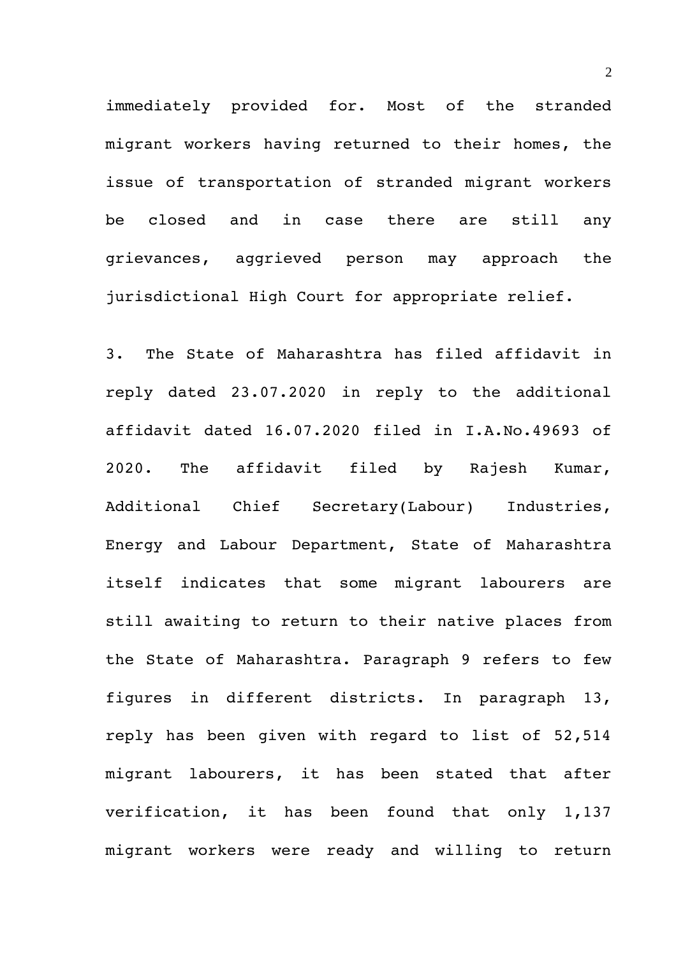immediately provided for. Most of the stranded migrant workers having returned to their homes, the issue of transportation of stranded migrant workers be closed and in case there are still any grievances, aggrieved person may approach the jurisdictional High Court for appropriate relief.

3. The State of Maharashtra has filed affidavit in reply dated 23.07.2020 in reply to the additional affidavit dated 16.07.2020 filed in I.A.No.49693 of 2020. The affidavit filed by Rajesh Kumar, Additional Chief Secretary(Labour) Industries, Energy and Labour Department, State of Maharashtra itself indicates that some migrant labourers are still awaiting to return to their native places from the State of Maharashtra. Paragraph 9 refers to few figures in different districts. In paragraph 13, reply has been given with regard to list of 52,514 migrant labourers, it has been stated that after verification, it has been found that only 1,137 migrant workers were ready and willing to return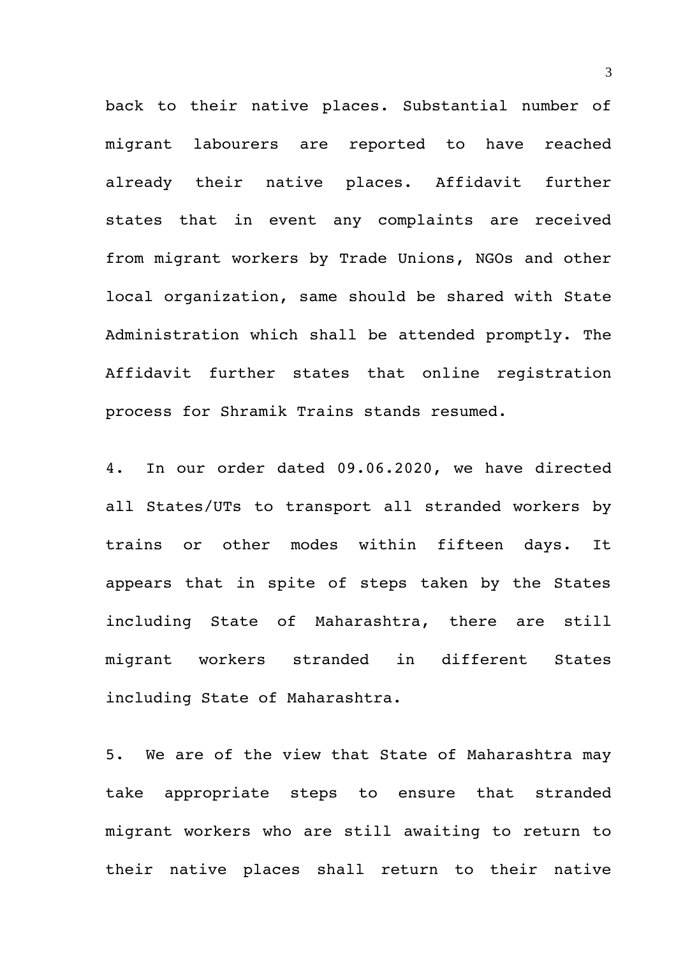back to their native places. Substantial number of migrant labourers are reported to have reached already their native places. Affidavit further states that in event any complaints are received from migrant workers by Trade Unions, NGOs and other local organization, same should be shared with State Administration which shall be attended promptly. The Affidavit further states that online registration process for Shramik Trains stands resumed.

4. In our order dated 09.06.2020, we have directed all States/UTs to transport all stranded workers by trains or other modes within fifteen days. It appears that in spite of steps taken by the States including State of Maharashtra, there are still migrant workers stranded in different States including State of Maharashtra.

5. We are of the view that State of Maharashtra may take appropriate steps to ensure that stranded migrant workers who are still awaiting to return to their native places shall return to their native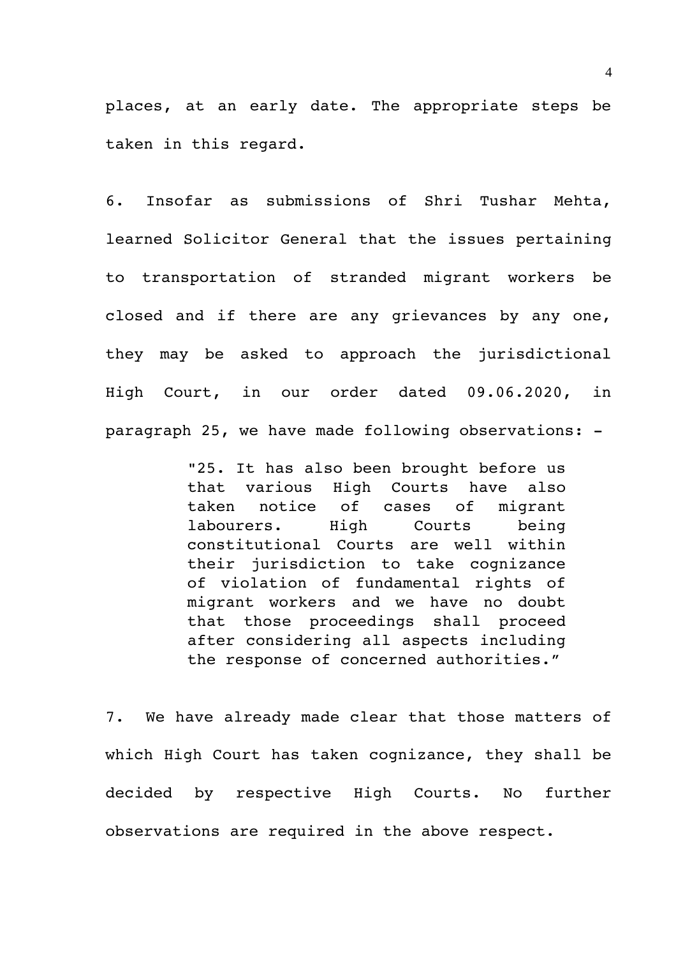places, at an early date. The appropriate steps be taken in this regard.

6. Insofar as submissions of Shri Tushar Mehta, learned Solicitor General that the issues pertaining to transportation of stranded migrant workers be closed and if there are any grievances by any one, they may be asked to approach the jurisdictional High Court, in our order dated 09.06.2020, in paragraph 25, we have made following observations:

> "25. It has also been brought before us that various High Courts have also taken notice of cases of migrant labourers. High Courts being constitutional Courts are well within their jurisdiction to take cognizance of violation of fundamental rights of migrant workers and we have no doubt that those proceedings shall proceed after considering all aspects including the response of concerned authorities."

7. We have already made clear that those matters of which High Court has taken cognizance, they shall be decided by respective High Courts. No further observations are required in the above respect.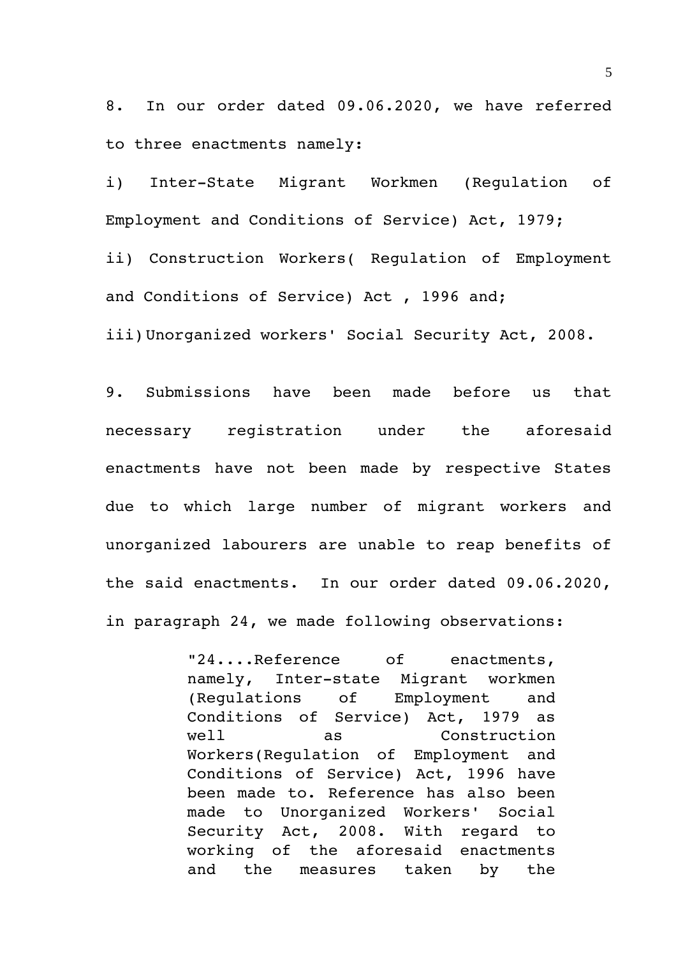8. In our order dated 09.06.2020, we have referred to three enactments namely:

i) Inter-State Migrant Workmen (Regulation of Employment and Conditions of Service) Act, 1979; ii) Construction Workers( Regulation of Employment and Conditions of Service) Act , 1996 and; iii)Unorganized workers' Social Security Act, 2008.

9. Submissions have been made before us that necessary registration under the aforesaid enactments have not been made by respective States due to which large number of migrant workers and unorganized labourers are unable to reap benefits of the said enactments. In our order dated 09.06.2020, in paragraph 24, we made following observations:

> "24....Reference of enactments, namely, Inter-state Migrant workmen (Regulations of Employment and Conditions of Service) Act, 1979 as well as Construction Workers(Regulation of Employment and Conditions of Service) Act, 1996 have been made to. Reference has also been made to Unorganized Workers' Social Security Act, 2008. With regard to working of the aforesaid enactments and the measures taken by the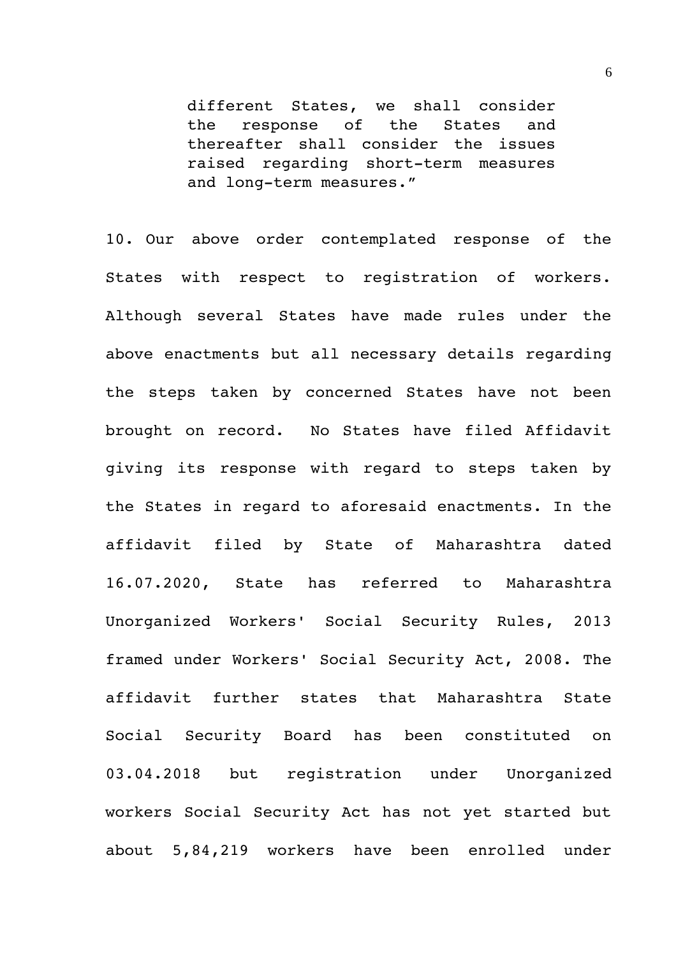different States, we shall consider the response of the States and thereafter shall consider the issues raised regarding short-term measures and long-term measures."

10. Our above order contemplated response of the States with respect to reqistration of workers. Although several States have made rules under the above enactments but all necessary details regarding the steps taken by concerned States have not been brought on record. No States have filed Affidavit giving its response with regard to steps taken by the States in regard to aforesaid enactments. In the affidavit filed by State of Maharashtra dated 16.07.2020, State has referred to Maharashtra Unorganized Workers' Social Security Rules, 2013 framed under Workers' Social Security Act, 2008. The affidavit further states that Maharashtra State Social Security Board has been constituted on 03.04.2018 but registration under Unorganized workers Social Security Act has not yet started but about 5,84,219 workers have been enrolled under

6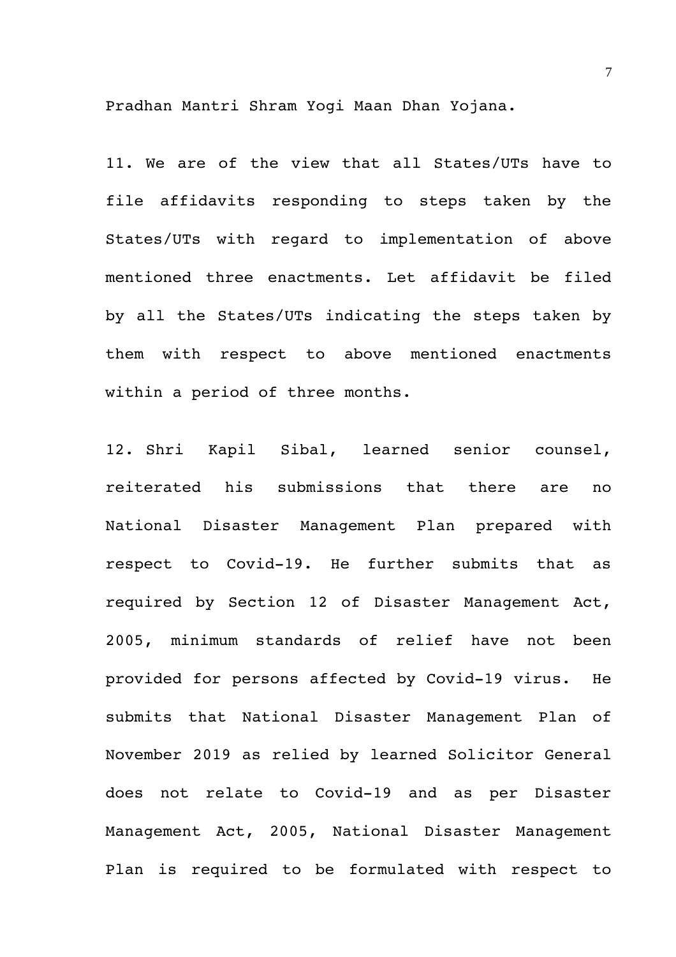Pradhan Mantri Shram Yogi Maan Dhan Yojana.

11. We are of the view that all States/UTs have to file affidavits responding to steps taken by the States/UTs with regard to implementation of above mentioned three enactments. Let affidavit be filed by all the States/UTs indicating the steps taken by them with respect to above mentioned enactments within a period of three months.

12. Shri Kapil Sibal, learned senior counsel, reiterated his submissions that there are no National Disaster Management Plan prepared with respect to Covid-19. He further submits that as required by Section 12 of Disaster Management Act, 2005, minimum standards of relief have not been provided for persons affected by Covid-19 virus. He submits that National Disaster Management Plan of November 2019 as relied by learned Solicitor General does not relate to Covid-19 and as per Disaster Management Act, 2005, National Disaster Management Plan is required to be formulated with respect to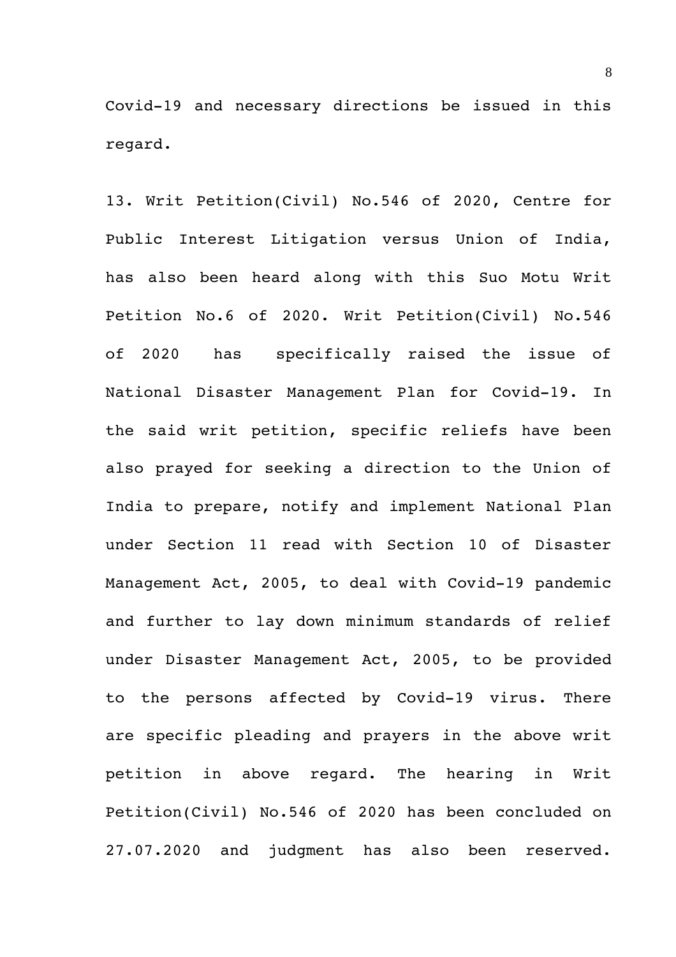Covid-19 and necessary directions be issued in this regard.

13. Writ Petition(Civil) No.546 of 2020, Centre for Public Interest Litigation versus Union of India, has also been heard along with this Suo Motu Writ Petition No.6 of 2020. Writ Petition(Civil) No.546 of 2020 has specifically raised the issue of National Disaster Management Plan for Covid-19. In the said writ petition, specific reliefs have been also prayed for seeking a direction to the Union of India to prepare, notify and implement National Plan under Section 11 read with Section 10 of Disaster Management Act, 2005, to deal with Covid-19 pandemic and further to lay down minimum standards of relief under Disaster Management Act, 2005, to be provided to the persons affected by Covid-19 virus. There are specific pleading and prayers in the above writ petition in above regard. The hearing in Writ Petition(Civil) No.546 of 2020 has been concluded on 27.07.2020 and judgment has also been reserved.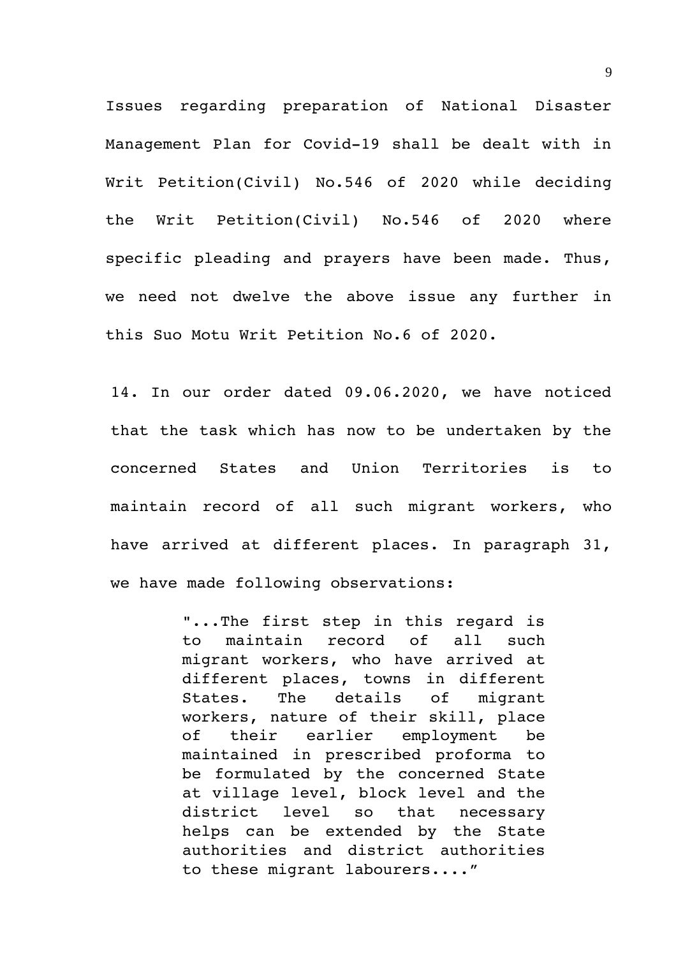Issues regarding preparation of National Disaster Management Plan for Covid-19 shall be dealt with in Writ Petition(Civil) No.546 of 2020 while deciding the Writ Petition(Civil) No.546 of 2020 where specific pleading and prayers have been made. Thus, we need not dwelve the above issue any further in this Suo Motu Writ Petition No.6 of 2020.

14. In our order dated 09.06.2020, we have noticed that the task which has now to be undertaken by the concerned States and Union Territories is to maintain record of all such migrant workers, who have arrived at different places. In paragraph 31, we have made following observations:

> "...The first step in this regard is to maintain record of all such migrant workers, who have arrived at different places, towns in different States. The details of migrant workers, nature of their skill, place of their earlier employment be maintained in prescribed proforma to be formulated by the concerned State at village level, block level and the district level so that necessary helps can be extended by the State authorities and district authorities to these migrant labourers...."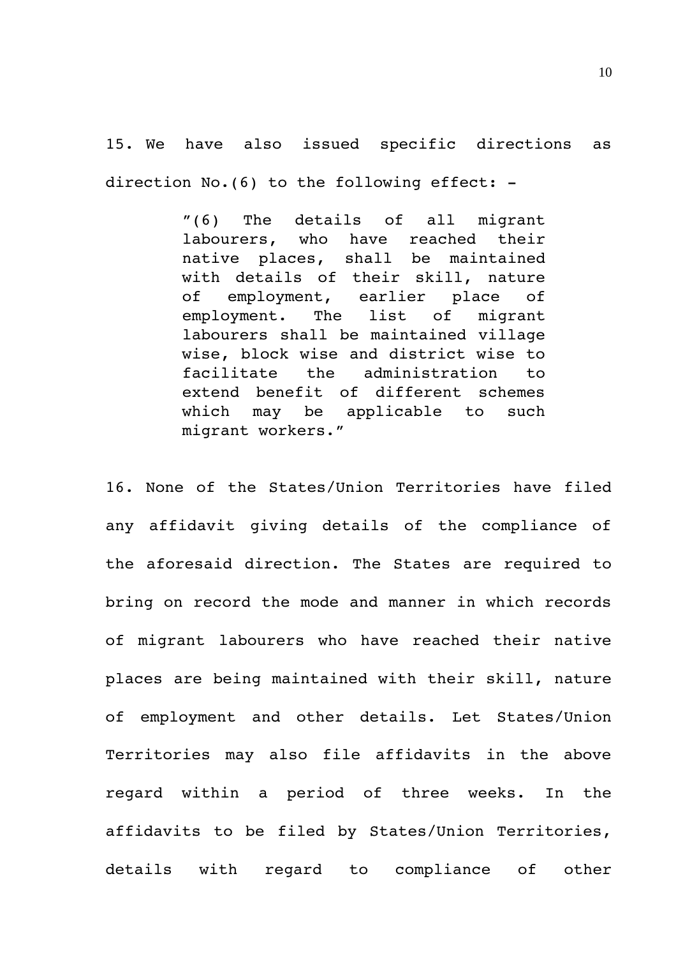15. We have also issued specific directions as direction No. (6) to the following effect: -

> "(6) The details of all migrant labourers, who have reached their native places, shall be maintained with details of their skill, nature of employment, earlier place of employment. The list of migrant labourers shall be maintained village wise, block wise and district wise to facilitate the administration to extend benefit of different schemes which may be applicable to such migrant workers."

16. None of the States/Union Territories have filed any affidavit giving details of the compliance of the aforesaid direction. The States are required to bring on record the mode and manner in which records of migrant labourers who have reached their native places are being maintained with their skill, nature of employment and other details. Let States/Union Territories may also file affidavits in the above regard within a period of three weeks. In the affidavits to be filed by States/Union Territories, details with regard to compliance of other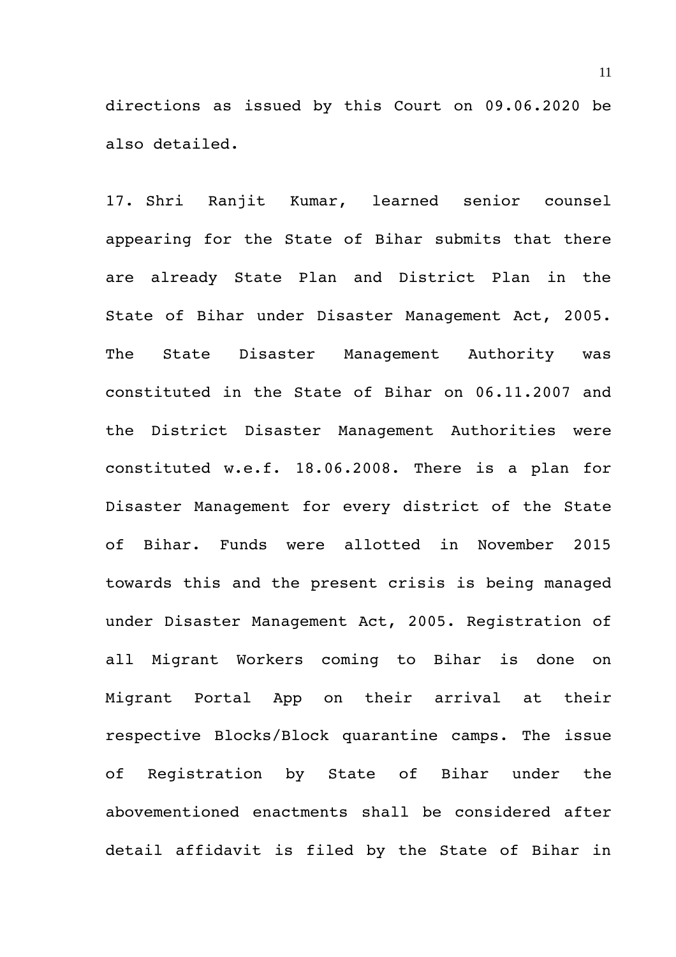directions as issued by this Court on 09.06.2020 be also detailed.

17. Shri Ranjit Kumar, learned senior counsel appearing for the State of Bihar submits that there are already State Plan and District Plan in the State of Bihar under Disaster Management Act, 2005. The State Disaster Management Authority was constituted in the State of Bihar on 06.11.2007 and the District Disaster Management Authorities were constituted w.e.f. 18.06.2008. There is a plan for Disaster Management for every district of the State of Bihar. Funds were allotted in November 2015 towards this and the present crisis is being managed under Disaster Management Act, 2005. Registration of all Migrant Workers coming to Bihar is done on Migrant Portal App on their arrival at their respective Blocks/Block quarantine camps. The issue of Registration by State of Bihar under the abovementioned enactments shall be considered after detail affidavit is filed by the State of Bihar in